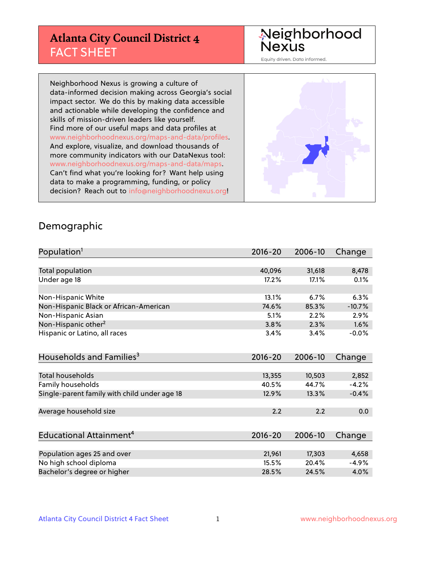# **Atlanta City Council District 4** FACT SHEET

#### Neighborhood Nexus

Equity driven. Data informed.

Neighborhood Nexus is growing a culture of data-informed decision making across Georgia's social impact sector. We do this by making data accessible and actionable while developing the confidence and skills of mission-driven leaders like yourself. Find more of our useful maps and data profiles at www.neighborhoodnexus.org/maps-and-data/profiles. And explore, visualize, and download thousands of more community indicators with our DataNexus tool: www.neighborhoodnexus.org/maps-and-data/maps. Can't find what you're looking for? Want help using data to make a programming, funding, or policy decision? Reach out to [info@neighborhoodnexus.org!](mailto:info@neighborhoodnexus.org)



#### Demographic

| Population <sup>1</sup>                      | $2016 - 20$ | 2006-10 | Change   |
|----------------------------------------------|-------------|---------|----------|
|                                              |             |         |          |
| Total population                             | 40,096      | 31,618  | 8,478    |
| Under age 18                                 | 17.2%       | 17.1%   | 0.1%     |
|                                              |             |         |          |
| Non-Hispanic White                           | 13.1%       | 6.7%    | 6.3%     |
| Non-Hispanic Black or African-American       | 74.6%       | 85.3%   | $-10.7%$ |
| Non-Hispanic Asian                           | 5.1%        | 2.2%    | 2.9%     |
| Non-Hispanic other <sup>2</sup>              | 3.8%        | 2.3%    | 1.6%     |
| Hispanic or Latino, all races                | 3.4%        | 3.4%    | $-0.0%$  |
|                                              |             |         |          |
| Households and Families <sup>3</sup>         | $2016 - 20$ | 2006-10 | Change   |
|                                              |             |         |          |
| <b>Total households</b>                      | 13,355      | 10,503  | 2,852    |
| Family households                            | 40.5%       | 44.7%   | $-4.2%$  |
| Single-parent family with child under age 18 | 12.9%       | 13.3%   | $-0.4%$  |
|                                              |             |         |          |
| Average household size                       | 2.2         | 2.2     | 0.0      |
|                                              |             |         |          |
| Educational Attainment <sup>4</sup>          | $2016 - 20$ | 2006-10 | Change   |
|                                              |             |         |          |
| Population ages 25 and over                  | 21,961      | 17,303  | 4,658    |
| No high school diploma                       | 15.5%       | 20.4%   | $-4.9%$  |
| Bachelor's degree or higher                  | 28.5%       | 24.5%   | 4.0%     |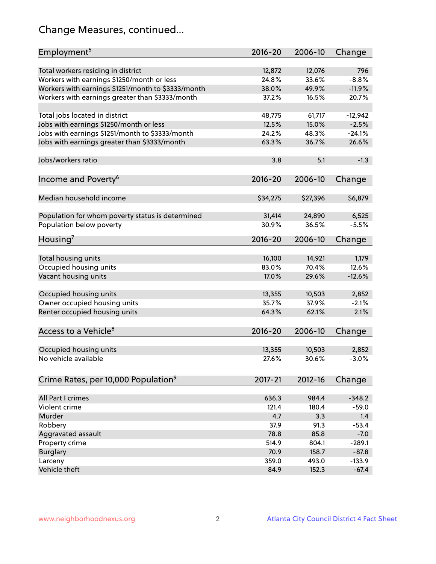# Change Measures, continued...

| Employment <sup>5</sup>                            | $2016 - 20$ | 2006-10  | Change    |
|----------------------------------------------------|-------------|----------|-----------|
|                                                    |             |          |           |
| Total workers residing in district                 | 12,872      | 12,076   | 796       |
| Workers with earnings \$1250/month or less         | 24.8%       | 33.6%    | $-8.8%$   |
| Workers with earnings \$1251/month to \$3333/month | 38.0%       | 49.9%    | $-11.9%$  |
| Workers with earnings greater than \$3333/month    | 37.2%       | 16.5%    | 20.7%     |
| Total jobs located in district                     | 48,775      | 61,717   | $-12,942$ |
| Jobs with earnings \$1250/month or less            | 12.5%       | 15.0%    | $-2.5%$   |
| Jobs with earnings \$1251/month to \$3333/month    | 24.2%       | 48.3%    | $-24.1%$  |
| Jobs with earnings greater than \$3333/month       | 63.3%       | 36.7%    | 26.6%     |
|                                                    |             |          |           |
| Jobs/workers ratio                                 | 3.8         | 5.1      | $-1.3$    |
|                                                    |             |          |           |
| Income and Poverty <sup>6</sup>                    | 2016-20     | 2006-10  | Change    |
| Median household income                            | \$34,275    | \$27,396 | \$6,879   |
|                                                    |             |          |           |
| Population for whom poverty status is determined   | 31,414      | 24,890   | 6,525     |
| Population below poverty                           | 30.9%       | 36.5%    | $-5.5%$   |
|                                                    |             |          |           |
| Housing <sup>7</sup>                               | $2016 - 20$ | 2006-10  | Change    |
|                                                    |             |          |           |
| Total housing units                                | 16,100      | 14,921   | 1,179     |
| Occupied housing units                             | 83.0%       | 70.4%    | 12.6%     |
| Vacant housing units                               | 17.0%       | 29.6%    | $-12.6%$  |
| Occupied housing units                             | 13,355      | 10,503   | 2,852     |
| Owner occupied housing units                       | 35.7%       | 37.9%    | $-2.1%$   |
| Renter occupied housing units                      | 64.3%       | 62.1%    | 2.1%      |
|                                                    |             |          |           |
| Access to a Vehicle <sup>8</sup>                   | $2016 - 20$ | 2006-10  | Change    |
|                                                    |             |          |           |
| Occupied housing units                             | 13,355      | 10,503   | 2,852     |
| No vehicle available                               | 27.6%       | 30.6%    | $-3.0%$   |
|                                                    |             |          |           |
| Crime Rates, per 10,000 Population <sup>9</sup>    | 2017-21     | 2012-16  | Change    |
|                                                    |             |          |           |
| All Part I crimes                                  | 636.3       | 984.4    | $-348.2$  |
| Violent crime                                      | 121.4       | 180.4    | $-59.0$   |
| Murder                                             | 4.7         | 3.3      | 1.4       |
| Robbery                                            | 37.9        | 91.3     | $-53.4$   |
| Aggravated assault                                 | 78.8        | 85.8     | $-7.0$    |
| Property crime                                     | 514.9       | 804.1    | $-289.1$  |
| <b>Burglary</b>                                    | 70.9        | 158.7    | $-87.8$   |
| Larceny                                            | 359.0       | 493.0    | $-133.9$  |
| Vehicle theft                                      | 84.9        | 152.3    | $-67.4$   |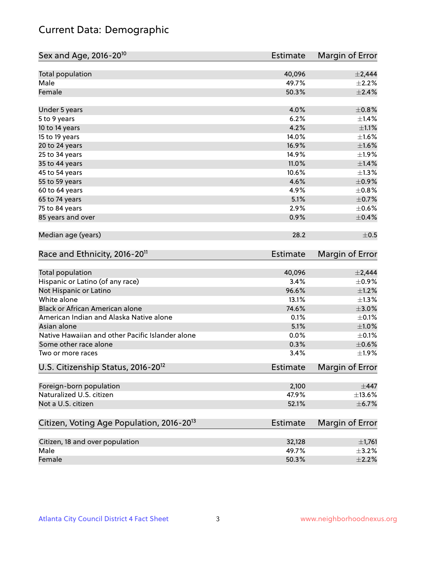# Current Data: Demographic

| Sex and Age, 2016-20 <sup>10</sup>                    | <b>Estimate</b> | Margin of Error |
|-------------------------------------------------------|-----------------|-----------------|
| Total population                                      | 40,096          | $\pm 2,444$     |
| Male                                                  | 49.7%           | $\pm 2.2\%$     |
| Female                                                | 50.3%           | $\pm 2.4\%$     |
| Under 5 years                                         | 4.0%            | $\pm$ 0.8%      |
| 5 to 9 years                                          | 6.2%            | ±1.4%           |
| 10 to 14 years                                        | 4.2%            | $\pm 1.1\%$     |
| 15 to 19 years                                        | 14.0%           | $\pm1.6\%$      |
| 20 to 24 years                                        | 16.9%           | $\pm 1.6\%$     |
| 25 to 34 years                                        | 14.9%           | $\pm 1.9\%$     |
| 35 to 44 years                                        | 11.0%           | $\pm1.4\%$      |
| 45 to 54 years                                        | 10.6%           | $\pm$ 1.3%      |
| 55 to 59 years                                        | 4.6%            | $\pm$ 0.9%      |
| 60 to 64 years                                        | 4.9%            | $\pm$ 0.8%      |
| 65 to 74 years                                        | 5.1%            | $\pm$ 0.7%      |
| 75 to 84 years                                        | 2.9%            | $\pm$ 0.6%      |
| 85 years and over                                     | 0.9%            | $\pm$ 0.4%      |
| Median age (years)                                    | 28.2            | $\pm$ 0.5       |
| Race and Ethnicity, 2016-20 <sup>11</sup>             | <b>Estimate</b> | Margin of Error |
| <b>Total population</b>                               | 40,096          | $\pm 2,444$     |
| Hispanic or Latino (of any race)                      | 3.4%            | $\pm$ 0.9%      |
| Not Hispanic or Latino                                | 96.6%           | $\pm 1.2\%$     |
| White alone                                           | 13.1%           | $\pm$ 1.3%      |
| Black or African American alone                       | 74.6%           | $\pm 3.0\%$     |
| American Indian and Alaska Native alone               | 0.1%            | $\pm$ 0.1%      |
| Asian alone                                           | 5.1%            | $\pm1.0\%$      |
| Native Hawaiian and other Pacific Islander alone      | 0.0%            | $\pm$ 0.1%      |
| Some other race alone                                 | 0.3%            | $\pm$ 0.6%      |
| Two or more races                                     | 3.4%            | ±1.9%           |
| U.S. Citizenship Status, 2016-20 <sup>12</sup>        | <b>Estimate</b> | Margin of Error |
| Foreign-born population                               | 2,100           | $\pm$ 447       |
| Naturalized U.S. citizen                              | 47.9%           | ±13.6%          |
| Not a U.S. citizen                                    | 52.1%           | $\pm$ 6.7%      |
| Citizen, Voting Age Population, 2016-20 <sup>13</sup> | Estimate        | Margin of Error |
| Citizen, 18 and over population                       | 32,128          | $\pm$ 1,761     |
| Male                                                  | 49.7%           | $\pm$ 3.2%      |
| Female                                                | 50.3%           | $\pm 2.2\%$     |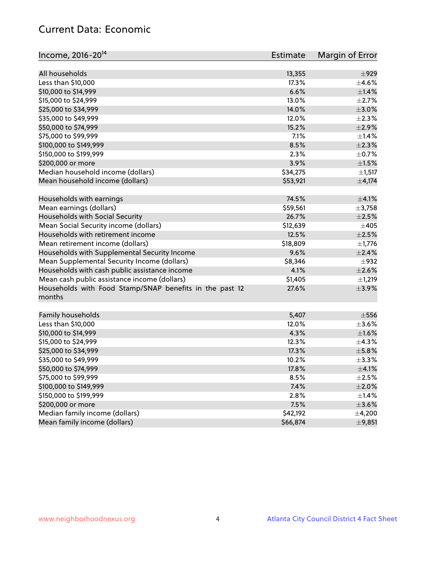## Current Data: Economic

| Income, 2016-20 <sup>14</sup>                           | Estimate | Margin of Error |
|---------------------------------------------------------|----------|-----------------|
| All households                                          | 13,355   | $\pm$ 929       |
| Less than \$10,000                                      | 17.3%    | $\pm$ 4.6%      |
| \$10,000 to \$14,999                                    | 6.6%     | $\pm$ 1.4%      |
| \$15,000 to \$24,999                                    | 13.0%    | $\pm 2.7\%$     |
| \$25,000 to \$34,999                                    | 14.0%    | $\pm 3.0\%$     |
|                                                         | 12.0%    | $\pm 2.3\%$     |
| \$35,000 to \$49,999                                    | 15.2%    |                 |
| \$50,000 to \$74,999                                    |          | $\pm 2.9\%$     |
| \$75,000 to \$99,999                                    | 7.1%     | $\pm 1.4\%$     |
| \$100,000 to \$149,999                                  | 8.5%     | $\pm 2.3\%$     |
| \$150,000 to \$199,999                                  | 2.3%     | $\pm$ 0.7%      |
| \$200,000 or more                                       | 3.9%     | $\pm 1.5\%$     |
| Median household income (dollars)                       | \$34,275 | $\pm$ 1,517     |
| Mean household income (dollars)                         | \$53,921 | $\pm$ 4,174     |
| Households with earnings                                | 74.5%    | $\pm$ 4.1%      |
| Mean earnings (dollars)                                 | \$59,561 | $\pm$ 3,758     |
| Households with Social Security                         | 26.7%    | $\pm 2.5\%$     |
| Mean Social Security income (dollars)                   | \$12,639 | ±405            |
| Households with retirement income                       | 12.5%    | $\pm 2.5\%$     |
| Mean retirement income (dollars)                        | \$18,809 | $\pm$ 1,776     |
| Households with Supplemental Security Income            | 9.6%     | $\pm 2.4\%$     |
| Mean Supplemental Security Income (dollars)             | \$8,346  | $\pm$ 932       |
| Households with cash public assistance income           | 4.1%     | $\pm 2.6\%$     |
| Mean cash public assistance income (dollars)            | \$1,405  | ±1,219          |
| Households with Food Stamp/SNAP benefits in the past 12 | 27.6%    | $\pm$ 3.9%      |
| months                                                  |          |                 |
| Family households                                       | 5,407    | $\pm 556$       |
| Less than \$10,000                                      | 12.0%    | $\pm 3.6\%$     |
| \$10,000 to \$14,999                                    | 4.3%     | $\pm1.6\%$      |
| \$15,000 to \$24,999                                    | 12.3%    | $\pm$ 4.3%      |
| \$25,000 to \$34,999                                    | 17.3%    | $\pm$ 5.8%      |
| \$35,000 to \$49,999                                    | 10.2%    | ±3.3%           |
| \$50,000 to \$74,999                                    | 17.8%    | $\pm$ 4.1%      |
| \$75,000 to \$99,999                                    | 8.5%     | $\pm 2.5\%$     |
| \$100,000 to \$149,999                                  | 7.4%     | $\pm 2.0\%$     |
| \$150,000 to \$199,999                                  | 2.8%     | $\pm$ 1.4%      |
| \$200,000 or more                                       | 7.5%     | $\pm$ 3.6%      |
| Median family income (dollars)                          | \$42,192 | ±4,200          |
| Mean family income (dollars)                            | \$66,874 |                 |
|                                                         |          | ±9,851          |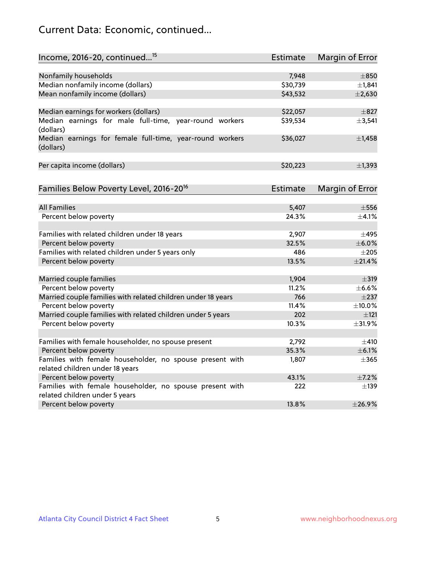# Current Data: Economic, continued...

| Income, 2016-20, continued <sup>15</sup>                                          | <b>Estimate</b>   | Margin of Error         |
|-----------------------------------------------------------------------------------|-------------------|-------------------------|
|                                                                                   |                   |                         |
| Nonfamily households<br>Median nonfamily income (dollars)                         | 7,948<br>\$30,739 | $\pm 850$<br>±1,841     |
| Mean nonfamily income (dollars)                                                   | \$43,532          | $\pm 2,630$             |
|                                                                                   |                   |                         |
| Median earnings for workers (dollars)                                             | \$22,057          | $\pm 827$               |
| Median earnings for male full-time, year-round workers<br>(dollars)               | \$39,534          | ±3,541                  |
| Median earnings for female full-time, year-round workers<br>(dollars)             | \$36,027          | $\pm$ 1,458             |
| Per capita income (dollars)                                                       | \$20,223          | ±1,393                  |
| Families Below Poverty Level, 2016-20 <sup>16</sup>                               | Estimate          | Margin of Error         |
|                                                                                   |                   |                         |
| <b>All Families</b>                                                               | 5,407             | $\pm$ 556               |
| Percent below poverty                                                             | 24.3%             | $\pm$ 4.1%              |
| Families with related children under 18 years                                     | 2,907             | $\pm$ 495               |
| Percent below poverty                                                             | 32.5%             | $\pm$ 6.0%              |
| Families with related children under 5 years only                                 | 486               | $\pm 205$               |
| Percent below poverty                                                             | 13.5%             | $\pm 21.4\%$            |
| Married couple families                                                           | 1,904             | $\pm$ 319               |
| Percent below poverty                                                             | 11.2%             | $\pm$ 6.6%              |
| Married couple families with related children under 18 years                      | 766               | $\pm 237$               |
| Percent below poverty                                                             | 11.4%             | $\pm 10.0\%$            |
| Married couple families with related children under 5 years                       | 202               | ±121                    |
| Percent below poverty                                                             | 10.3%             | ±31.9%                  |
|                                                                                   | 2,792             |                         |
| Families with female householder, no spouse present                               | 35.3%             | $\pm$ 410<br>$\pm$ 6.1% |
| Percent below poverty<br>Families with female householder, no spouse present with |                   | $\pm$ 365               |
| related children under 18 years                                                   | 1,807             |                         |
| Percent below poverty                                                             | 43.1%             | $\pm$ 7.2%              |
| Families with female householder, no spouse present with                          | 222               | $\pm$ 139               |
| related children under 5 years                                                    |                   |                         |
| Percent below poverty                                                             | 13.8%             | ±26.9%                  |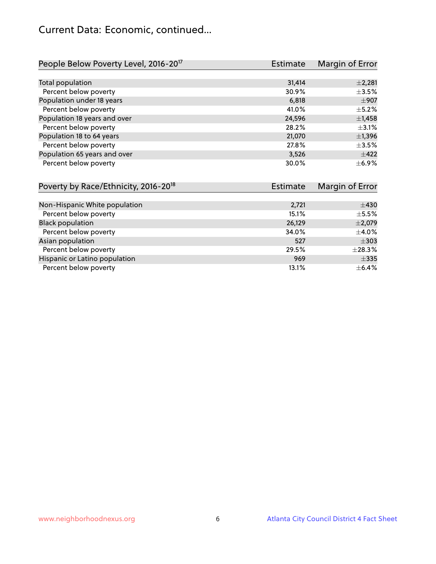## Current Data: Economic, continued...

| People Below Poverty Level, 2016-20 <sup>17</sup> | <b>Estimate</b> | Margin of Error |
|---------------------------------------------------|-----------------|-----------------|
|                                                   |                 |                 |
| Total population                                  | 31,414          | $\pm 2,281$     |
| Percent below poverty                             | 30.9%           | $\pm 3.5\%$     |
| Population under 18 years                         | 6,818           | $\pm$ 907       |
| Percent below poverty                             | 41.0%           | $\pm$ 5.2%      |
| Population 18 years and over                      | 24,596          | $\pm$ 1,458     |
| Percent below poverty                             | 28.2%           | $\pm$ 3.1%      |
| Population 18 to 64 years                         | 21,070          | $\pm$ 1,396     |
| Percent below poverty                             | 27.8%           | $\pm$ 3.5%      |
| Population 65 years and over                      | 3,526           | $\pm$ 422       |
| Percent below poverty                             | 30.0%           | $\pm$ 6.9%      |

| Poverty by Race/Ethnicity, 2016-20 <sup>18</sup> | Estimate | Margin of Error |
|--------------------------------------------------|----------|-----------------|
|                                                  |          |                 |
| Non-Hispanic White population                    | 2,721    | $\pm$ 430       |
| Percent below poverty                            | 15.1%    | $\pm$ 5.5%      |
| <b>Black population</b>                          | 26,129   | $\pm$ 2,079     |
| Percent below poverty                            | 34.0%    | $\pm$ 4.0%      |
| Asian population                                 | 527      | $\pm$ 303       |
| Percent below poverty                            | 29.5%    | $\pm 28.3\%$    |
| Hispanic or Latino population                    | 969      | $\pm$ 335       |
| Percent below poverty                            | 13.1%    | $\pm$ 6.4%      |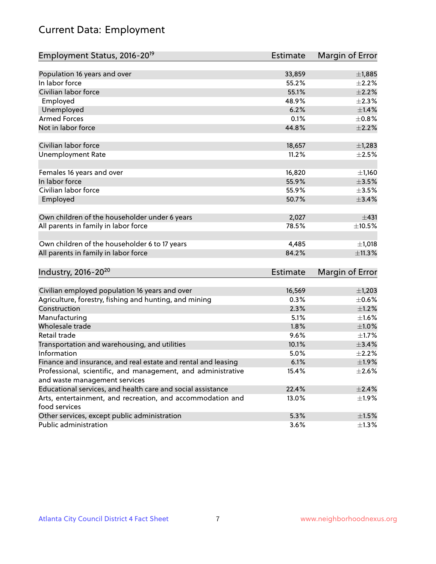# Current Data: Employment

| Employment Status, 2016-20 <sup>19</sup>                                    | <b>Estimate</b> | Margin of Error |
|-----------------------------------------------------------------------------|-----------------|-----------------|
|                                                                             |                 |                 |
| Population 16 years and over                                                | 33,859          | ±1,885          |
| In labor force                                                              | 55.2%           | $\pm 2.2\%$     |
| Civilian labor force                                                        | 55.1%           | $\pm 2.2\%$     |
| Employed                                                                    | 48.9%           | $\pm 2.3\%$     |
| Unemployed                                                                  | 6.2%            | $\pm$ 1.4%      |
| <b>Armed Forces</b>                                                         | 0.1%            | $\pm$ 0.8%      |
| Not in labor force                                                          | 44.8%           | $\pm 2.2\%$     |
| Civilian labor force                                                        | 18,657          | $\pm$ 1,283     |
| <b>Unemployment Rate</b>                                                    | 11.2%           | $\pm 2.5\%$     |
| Females 16 years and over                                                   | 16,820          | ±1,160          |
| In labor force                                                              | 55.9%           | $\pm 3.5\%$     |
| Civilian labor force                                                        | 55.9%           | $\pm 3.5\%$     |
| Employed                                                                    | 50.7%           | $\pm$ 3.4%      |
|                                                                             |                 |                 |
| Own children of the householder under 6 years                               | 2,027           | ±431            |
| All parents in family in labor force                                        | 78.5%           | $\pm 10.5\%$    |
| Own children of the householder 6 to 17 years                               | 4,485           | $\pm$ 1,018     |
| All parents in family in labor force                                        | 84.2%           | $\pm$ 11.3%     |
|                                                                             |                 |                 |
| Industry, 2016-20 <sup>20</sup>                                             | <b>Estimate</b> | Margin of Error |
|                                                                             |                 |                 |
| Civilian employed population 16 years and over                              | 16,569          | $\pm$ 1,203     |
| Agriculture, forestry, fishing and hunting, and mining                      | 0.3%            | $\pm$ 0.6%      |
| Construction                                                                | 2.3%            | $\pm 1.2\%$     |
| Manufacturing                                                               | 5.1%            | $\pm1.6\%$      |
| Wholesale trade                                                             | 1.8%            | $\pm1.0\%$      |
| Retail trade                                                                | 9.6%            | $\pm 1.7\%$     |
| Transportation and warehousing, and utilities                               | 10.1%           | $\pm$ 3.4%      |
| Information                                                                 | 5.0%            | $\pm 2.2\%$     |
| Finance and insurance, and real estate and rental and leasing               | 6.1%            | ±1.9%           |
| Professional, scientific, and management, and administrative                | 15.4%           | $\pm 2.6\%$     |
| and waste management services                                               |                 |                 |
| Educational services, and health care and social assistance                 | 22.4%           | ±2.4%           |
| Arts, entertainment, and recreation, and accommodation and<br>food services | 13.0%           | ±1.9%           |
| Other services, except public administration                                | 5.3%            | $\pm 1.5\%$     |
| Public administration                                                       | 3.6%            | $\pm 1.3\%$     |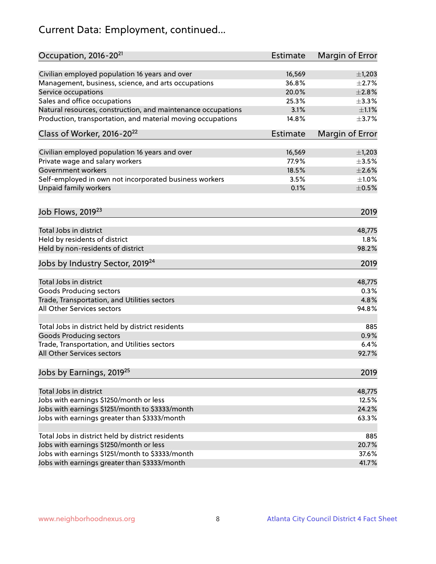# Current Data: Employment, continued...

| Occupation, 2016-20 <sup>21</sup>                            | Estimate | Margin of Error |
|--------------------------------------------------------------|----------|-----------------|
| Civilian employed population 16 years and over               | 16,569   | $\pm$ 1,203     |
| Management, business, science, and arts occupations          | 36.8%    | $\pm 2.7\%$     |
| Service occupations                                          | 20.0%    | $\pm 2.8\%$     |
| Sales and office occupations                                 | 25.3%    | ±3.3%           |
| Natural resources, construction, and maintenance occupations | 3.1%     | $\pm 1.1\%$     |
| Production, transportation, and material moving occupations  | 14.8%    | $\pm$ 3.7%      |
| Class of Worker, 2016-20 <sup>22</sup>                       | Estimate | Margin of Error |
| Civilian employed population 16 years and over               | 16,569   | $\pm$ 1,203     |
| Private wage and salary workers                              | 77.9%    | $\pm 3.5\%$     |
| Government workers                                           | 18.5%    | $\pm 2.6\%$     |
| Self-employed in own not incorporated business workers       | 3.5%     | $\pm 1.0\%$     |
| Unpaid family workers                                        | 0.1%     | $\pm$ 0.5%      |
| Job Flows, 2019 <sup>23</sup>                                |          | 2019            |
|                                                              |          |                 |
| Total Jobs in district                                       |          | 48,775          |
| Held by residents of district                                |          | 1.8%            |
| Held by non-residents of district                            |          | 98.2%           |
| Jobs by Industry Sector, 2019 <sup>24</sup>                  |          | 2019            |
| Total Jobs in district                                       |          | 48,775          |
| <b>Goods Producing sectors</b>                               |          | 0.3%            |
| Trade, Transportation, and Utilities sectors                 |          | 4.8%            |
| All Other Services sectors                                   |          | 94.8%           |
| Total Jobs in district held by district residents            |          | 885             |
| <b>Goods Producing sectors</b>                               |          | 0.9%            |
| Trade, Transportation, and Utilities sectors                 |          | 6.4%            |
| All Other Services sectors                                   |          | 92.7%           |
| Jobs by Earnings, 2019 <sup>25</sup>                         |          | 2019            |
|                                                              |          |                 |
| Total Jobs in district                                       |          | 48,775          |
| Jobs with earnings \$1250/month or less                      |          | 12.5%           |
| Jobs with earnings \$1251/month to \$3333/month              |          | 24.2%           |
| Jobs with earnings greater than \$3333/month                 |          | 63.3%           |
| Total Jobs in district held by district residents            |          | 885             |
| Jobs with earnings \$1250/month or less                      |          | 20.7%           |
| Jobs with earnings \$1251/month to \$3333/month              |          | 37.6%           |
| Jobs with earnings greater than \$3333/month                 |          | 41.7%           |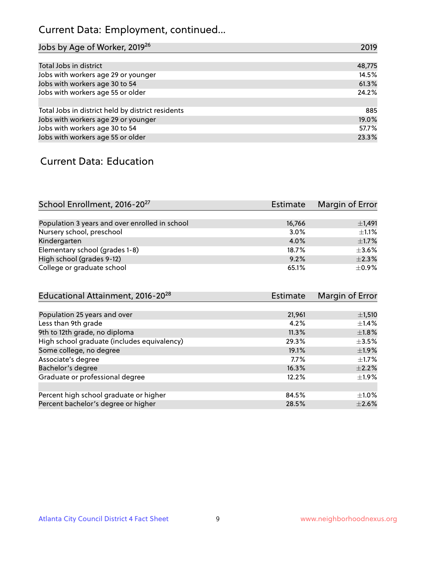# Current Data: Employment, continued...

| Jobs by Age of Worker, 2019 <sup>26</sup>         | 2019   |
|---------------------------------------------------|--------|
|                                                   |        |
| Total Jobs in district                            | 48,775 |
| Jobs with workers age 29 or younger               | 14.5%  |
| Jobs with workers age 30 to 54                    | 61.3%  |
| Jobs with workers age 55 or older                 | 24.2%  |
|                                                   |        |
| Total Jobs in district held by district residents | 885    |
| Jobs with workers age 29 or younger               | 19.0%  |
| Jobs with workers age 30 to 54                    | 57.7%  |
| Jobs with workers age 55 or older                 | 23.3%  |

#### Current Data: Education

| School Enrollment, 2016-20 <sup>27</sup>       | Estimate | Margin of Error |
|------------------------------------------------|----------|-----------------|
|                                                |          |                 |
| Population 3 years and over enrolled in school | 16,766   | $\pm$ 1,491     |
| Nursery school, preschool                      | 3.0%     | $\pm 1.1\%$     |
| Kindergarten                                   | 4.0%     | $\pm$ 1.7%      |
| Elementary school (grades 1-8)                 | 18.7%    | $\pm$ 3.6%      |
| High school (grades 9-12)                      | 9.2%     | $\pm 2.3\%$     |
| College or graduate school                     | 65.1%    | $\pm$ 0.9%      |

| <b>Estimate</b> | Margin of Error |
|-----------------|-----------------|
|                 |                 |
| 21,961          | $\pm$ 1,510     |
| 4.2%            | $\pm$ 1.4%      |
| 11.3%           | $\pm1.8\%$      |
| 29.3%           | $\pm$ 3.5%      |
| 19.1%           | $\pm$ 1.9%      |
| 7.7%            | $\pm 1.7\%$     |
| 16.3%           | $\pm 2.2\%$     |
| 12.2%           | $\pm 1.9\%$     |
| 84.5%           | $\pm 1.0\%$     |
| 28.5%           | $\pm 2.6\%$     |
|                 |                 |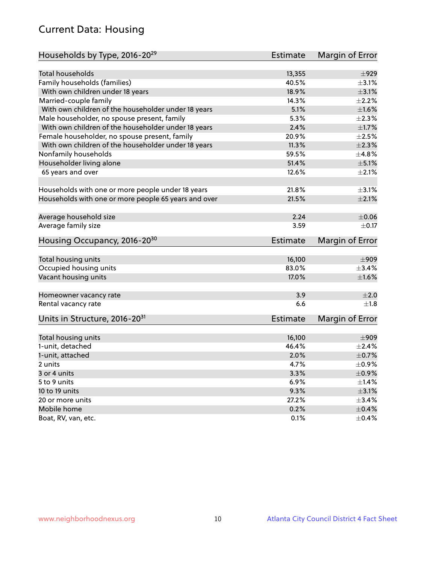# Current Data: Housing

| Households by Type, 2016-20 <sup>29</sup>            | <b>Estimate</b> | Margin of Error |
|------------------------------------------------------|-----------------|-----------------|
|                                                      |                 |                 |
| <b>Total households</b>                              | 13,355          | $\pm$ 929       |
| Family households (families)                         | 40.5%           | $\pm$ 3.1%      |
| With own children under 18 years                     | 18.9%           | $\pm$ 3.1%      |
| Married-couple family                                | 14.3%           | $\pm 2.2\%$     |
| With own children of the householder under 18 years  | 5.1%            | $\pm1.6\%$      |
| Male householder, no spouse present, family          | 5.3%            | $\pm 2.3\%$     |
| With own children of the householder under 18 years  | 2.4%            | $\pm 1.7\%$     |
| Female householder, no spouse present, family        | 20.9%           | $\pm 2.5\%$     |
| With own children of the householder under 18 years  | 11.3%           | $\pm 2.3\%$     |
| Nonfamily households                                 | 59.5%           | ±4.8%           |
| Householder living alone                             | 51.4%           | $\pm$ 5.1%      |
| 65 years and over                                    | 12.6%           | $\pm 2.1\%$     |
|                                                      |                 |                 |
| Households with one or more people under 18 years    | 21.8%           | $\pm$ 3.1%      |
| Households with one or more people 65 years and over | 21.5%           | $\pm 2.1\%$     |
|                                                      |                 |                 |
| Average household size                               | 2.24            | $\pm$ 0.06      |
| Average family size                                  | 3.59            | $\pm$ 0.17      |
| Housing Occupancy, 2016-20 <sup>30</sup>             | <b>Estimate</b> | Margin of Error |
| Total housing units                                  | 16,100          | $\pm$ 909       |
| Occupied housing units                               | 83.0%           | ±3.4%           |
| Vacant housing units                                 | 17.0%           | $\pm1.6\%$      |
|                                                      |                 |                 |
| Homeowner vacancy rate                               | 3.9             | ±2.0            |
| Rental vacancy rate                                  | 6.6             | $\pm 1.8$       |
| Units in Structure, 2016-20 <sup>31</sup>            | <b>Estimate</b> | Margin of Error |
|                                                      |                 |                 |
| Total housing units                                  | 16,100          | $\pm$ 909       |
| 1-unit, detached                                     | 46.4%           | $\pm 2.4\%$     |
| 1-unit, attached                                     | 2.0%            | $\pm$ 0.7%      |
| 2 units                                              | 4.7%            | $\pm$ 0.9%      |
| 3 or 4 units                                         | 3.3%            | $\pm$ 0.9%      |
| 5 to 9 units                                         | 6.9%            | $\pm 1.4\%$     |
| 10 to 19 units                                       | 9.3%            | $\pm$ 3.1%      |
| 20 or more units                                     | 27.2%           | $\pm$ 3.4%      |
| Mobile home                                          | 0.2%            | $\pm$ 0.4%      |
| Boat, RV, van, etc.                                  | 0.1%            | $\pm$ 0.4%      |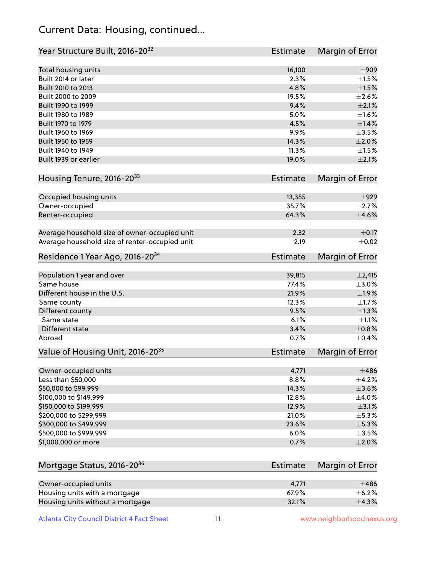## Current Data: Housing, continued...

| Year Structure Built, 2016-20 <sup>32</sup>    | <b>Estimate</b> | Margin of Error |
|------------------------------------------------|-----------------|-----------------|
| Total housing units                            | 16,100          | $\pm$ 909       |
| Built 2014 or later                            | 2.3%            | $\pm 1.5\%$     |
| Built 2010 to 2013                             | 4.8%            | $\pm 1.5\%$     |
| Built 2000 to 2009                             | 19.5%           | $\pm 2.6\%$     |
| Built 1990 to 1999                             | 9.4%            | $\pm 2.1\%$     |
| Built 1980 to 1989                             | 5.0%            | $\pm1.6\%$      |
| Built 1970 to 1979                             | 4.5%            | $\pm1.4\%$      |
| Built 1960 to 1969                             | 9.9%            | $\pm 3.5\%$     |
| Built 1950 to 1959                             | 14.3%           | $\pm 2.0\%$     |
| Built 1940 to 1949                             | 11.3%           | $\pm 1.5\%$     |
| Built 1939 or earlier                          | 19.0%           | $\pm 2.1\%$     |
| Housing Tenure, 2016-2033                      | <b>Estimate</b> | Margin of Error |
|                                                |                 |                 |
| Occupied housing units                         | 13,355          | $\pm$ 929       |
| Owner-occupied                                 | 35.7%           | $\pm 2.7\%$     |
| Renter-occupied                                | 64.3%           | $\pm$ 4.6%      |
| Average household size of owner-occupied unit  | 2.32            | $\pm$ 0.17      |
| Average household size of renter-occupied unit | 2.19            | $\pm 0.02$      |
| Residence 1 Year Ago, 2016-20 <sup>34</sup>    | Estimate        | Margin of Error |
| Population 1 year and over                     | 39,815          | $\pm 2,415$     |
| Same house                                     | 77.4%           | $\pm 3.0\%$     |
| Different house in the U.S.                    | 21.9%           | ±1.9%           |
| Same county                                    | 12.3%           | $\pm1.7\%$      |
| Different county                               | 9.5%            | $\pm 1.3\%$     |
| Same state                                     | 6.1%            | $\pm 1.1\%$     |
| Different state                                | 3.4%            | $\pm$ 0.8%      |
| Abroad                                         | 0.7%            | $\pm$ 0.4%      |
|                                                |                 |                 |
| Value of Housing Unit, 2016-20 <sup>35</sup>   | <b>Estimate</b> | Margin of Error |
| Owner-occupied units                           | 4,771           | $\pm$ 486       |
| Less than \$50,000                             | 8.8%            | $\pm$ 4.2%      |
| \$50,000 to \$99,999                           | 14.3%           | $\pm$ 3.6%      |
| \$100,000 to \$149,999                         | 12.8%           | $\pm$ 4.0%      |
| \$150,000 to \$199,999                         | 12.9%           | $\pm$ 3.1%      |
| \$200,000 to \$299,999                         | 21.0%           | $\pm$ 5.3%      |
| \$300,000 to \$499,999                         | 23.6%           | $\pm$ 5.3%      |
| \$500,000 to \$999,999                         | 6.0%            | $\pm$ 3.5%      |
| \$1,000,000 or more                            | 0.7%            | $\pm 2.0\%$     |
|                                                |                 |                 |
| Mortgage Status, 2016-20 <sup>36</sup>         | Estimate        | Margin of Error |
|                                                |                 |                 |
| Owner-occupied units                           | 4,771           | $\pm 486$       |
| Housing units with a mortgage                  | 67.9%           | $\pm$ 6.2%      |
| Housing units without a mortgage               | 32.1%           | $\pm$ 4.3%      |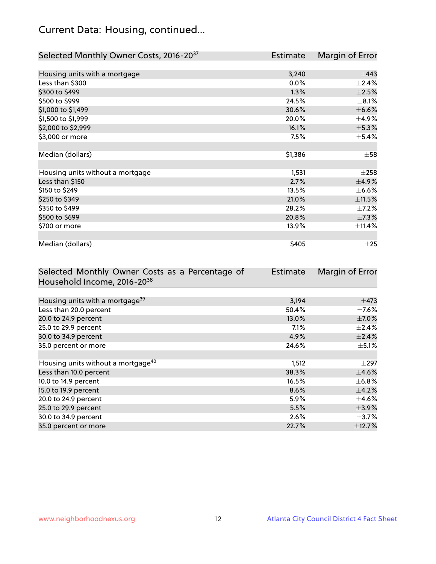# Current Data: Housing, continued...

| Selected Monthly Owner Costs, 2016-20 <sup>37</sup> | Estimate | Margin of Error |
|-----------------------------------------------------|----------|-----------------|
|                                                     |          |                 |
| Housing units with a mortgage                       | 3,240    | $\pm$ 443       |
| Less than \$300                                     | $0.0\%$  | $\pm 2.4\%$     |
| \$300 to \$499                                      | 1.3%     | $\pm 2.5\%$     |
| \$500 to \$999                                      | 24.5%    | $\pm$ 8.1%      |
| \$1,000 to \$1,499                                  | 30.6%    | $\pm$ 6.6%      |
| \$1,500 to \$1,999                                  | 20.0%    | $\pm$ 4.9%      |
| \$2,000 to \$2,999                                  | 16.1%    | ±5.3%           |
| \$3,000 or more                                     | 7.5%     | $\pm$ 5.4%      |
|                                                     |          |                 |
| Median (dollars)                                    | \$1,386  | $\pm$ 58        |
|                                                     |          |                 |
| Housing units without a mortgage                    | 1,531    | $\pm 258$       |
| Less than \$150                                     | 2.7%     | ±4.9%           |
| \$150 to \$249                                      | 13.5%    | $\pm$ 6.6%      |
| \$250 to \$349                                      | 21.0%    | ±11.5%          |
| \$350 to \$499                                      | 28.2%    | $\pm$ 7.2%      |
| \$500 to \$699                                      | 20.8%    | $\pm$ 7.3%      |
| \$700 or more                                       | 13.9%    | ±11.4%          |
|                                                     |          |                 |
| Median (dollars)                                    | \$405    | $\pm 25$        |

| Selected Monthly Owner Costs as a Percentage of | <b>Estimate</b> | Margin of Error |
|-------------------------------------------------|-----------------|-----------------|
| Household Income, 2016-20 <sup>38</sup>         |                 |                 |
|                                                 |                 |                 |
| Housing units with a mortgage <sup>39</sup>     | 3,194           | $\pm$ 473       |
| Less than 20.0 percent                          | 50.4%           | $\pm$ 7.6%      |
| 20.0 to 24.9 percent                            | 13.0%           | $\pm$ 7.0%      |
| 25.0 to 29.9 percent                            | 7.1%            | $\pm 2.4\%$     |
| 30.0 to 34.9 percent                            | 4.9%            | $\pm$ 2.4%      |
| 35.0 percent or more                            | 24.6%           | $\pm$ 5.1%      |
|                                                 |                 |                 |
| Housing units without a mortgage <sup>40</sup>  | 1,512           | $\pm 297$       |
| Less than 10.0 percent                          | 38.3%           | $\pm$ 4.6%      |
| 10.0 to 14.9 percent                            | 16.5%           | $\pm$ 6.8%      |
| 15.0 to 19.9 percent                            | 8.6%            | $\pm$ 4.2%      |
| 20.0 to 24.9 percent                            | 5.9%            | $\pm$ 4.6%      |
| 25.0 to 29.9 percent                            | 5.5%            | $\pm$ 3.9%      |
| 30.0 to 34.9 percent                            | 2.6%            | $\pm$ 3.7%      |
| 35.0 percent or more                            | 22.7%           | ±12.7%          |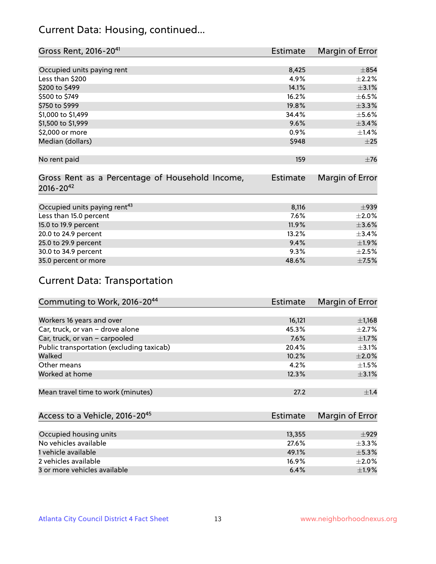## Current Data: Housing, continued...

| Gross Rent, 2016-20 <sup>41</sup>               | <b>Estimate</b> | Margin of Error |
|-------------------------------------------------|-----------------|-----------------|
|                                                 |                 |                 |
| Occupied units paying rent                      | 8,425           | $\pm 854$       |
| Less than \$200                                 | 4.9%            | $\pm 2.2\%$     |
| \$200 to \$499                                  | 14.1%           | $\pm$ 3.1%      |
| \$500 to \$749                                  | 16.2%           | $\pm$ 6.5%      |
| \$750 to \$999                                  | 19.8%           | ±3.3%           |
| \$1,000 to \$1,499                              | 34.4%           | $\pm$ 5.6%      |
| \$1,500 to \$1,999                              | 9.6%            | ±3.4%           |
| \$2,000 or more                                 | 0.9%            | $\pm$ 1.4%      |
| Median (dollars)                                | \$948           | $\pm 25$        |
|                                                 |                 |                 |
| No rent paid                                    | 159             | $\pm 76$        |
|                                                 |                 |                 |
| Gross Rent as a Percentage of Household Income, | <b>Estimate</b> | Margin of Error |
| $2016 - 20^{42}$                                |                 |                 |
|                                                 |                 |                 |
| Occupied units paying rent <sup>43</sup>        | 8,116           | $\pm$ 939       |
| Less than 15.0 percent                          | 7.6%            | $\pm 2.0\%$     |
| 15.0 to 19.9 percent                            | 11.9%           | $\pm 3.6\%$     |
| 20.0 to 24.9 percent                            | 13.2%           | $\pm$ 3.4%      |
| 25.0 to 29.9 percent                            | 9.4%            | ±1.9%           |
| 30.0 to 34.9 percent                            | 9.3%            | $\pm 2.5\%$     |
| 35.0 percent or more                            | 48.6%           | $\pm$ 7.5%      |

# Current Data: Transportation

| Commuting to Work, 2016-20 <sup>44</sup>  | <b>Estimate</b> | Margin of Error |
|-------------------------------------------|-----------------|-----------------|
|                                           |                 |                 |
| Workers 16 years and over                 | 16,121          | $\pm$ 1,168     |
| Car, truck, or van - drove alone          | 45.3%           | $\pm 2.7\%$     |
| Car, truck, or van - carpooled            | 7.6%            | $\pm$ 1.7%      |
| Public transportation (excluding taxicab) | 20.4%           | $\pm$ 3.1%      |
| Walked                                    | 10.2%           | $\pm 2.0\%$     |
| Other means                               | 4.2%            | $\pm 1.5\%$     |
| Worked at home                            | 12.3%           | $\pm$ 3.1%      |
|                                           |                 |                 |
| Mean travel time to work (minutes)        | 27.2            | $\pm 1.4$       |

| Access to a Vehicle, 2016-20 <sup>45</sup> | Estimate | Margin of Error |
|--------------------------------------------|----------|-----------------|
|                                            |          |                 |
| Occupied housing units                     | 13,355   | $+929$          |
| No vehicles available                      | 27.6%    | $+3.3%$         |
| 1 vehicle available                        | 49.1%    | $\pm$ 5.3%      |
| 2 vehicles available                       | 16.9%    | $+2.0%$         |
| 3 or more vehicles available               | 6.4%     | ±1.9%           |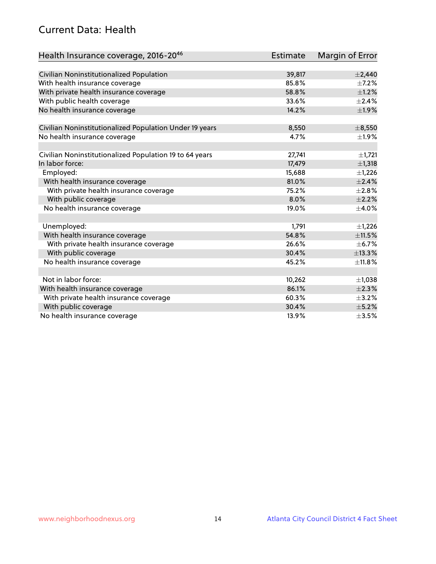## Current Data: Health

| Health Insurance coverage, 2016-2046                    | <b>Estimate</b> | Margin of Error |
|---------------------------------------------------------|-----------------|-----------------|
|                                                         |                 |                 |
| Civilian Noninstitutionalized Population                | 39,817          | $\pm 2,440$     |
| With health insurance coverage                          | 85.8%           | $\pm$ 7.2%      |
| With private health insurance coverage                  | 58.8%           | $\pm 1.2\%$     |
| With public health coverage                             | 33.6%           | $\pm 2.4\%$     |
| No health insurance coverage                            | 14.2%           | ±1.9%           |
| Civilian Noninstitutionalized Population Under 19 years | 8,550           | $\pm$ 8,550     |
|                                                         | 4.7%            | ±1.9%           |
| No health insurance coverage                            |                 |                 |
| Civilian Noninstitutionalized Population 19 to 64 years | 27,741          | $\pm$ 1,721     |
| In labor force:                                         | 17,479          | ±1,318          |
| Employed:                                               | 15,688          | $\pm$ 1,226     |
| With health insurance coverage                          | 81.0%           | $\pm 2.4\%$     |
| With private health insurance coverage                  | 75.2%           | $\pm 2.8\%$     |
| With public coverage                                    | 8.0%            | $\pm 2.2\%$     |
| No health insurance coverage                            | 19.0%           | $\pm$ 4.0%      |
|                                                         |                 |                 |
| Unemployed:                                             | 1,791           | $\pm$ 1,226     |
| With health insurance coverage                          | 54.8%           | ±11.5%          |
| With private health insurance coverage                  | 26.6%           | $\pm$ 6.7%      |
| With public coverage                                    | 30.4%           | ±13.3%          |
| No health insurance coverage                            | 45.2%           | ±11.8%          |
|                                                         |                 |                 |
| Not in labor force:                                     | 10,262          | ±1,038          |
| With health insurance coverage                          | 86.1%           | $\pm 2.3\%$     |
| With private health insurance coverage                  | 60.3%           | $\pm$ 3.2%      |
| With public coverage                                    | 30.4%           | $\pm$ 5.2%      |
| No health insurance coverage                            | 13.9%           | $\pm 3.5\%$     |